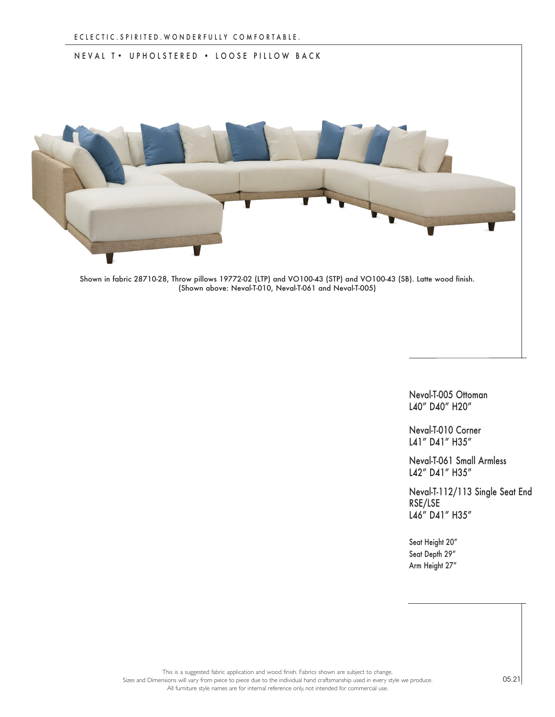## NEVAL T • UPHOLSTERED • LOOSE PILLOW BACK



Shown in fabric 28710-28, Throw pillows 19772-02 (LTP) and VO100-43 (STP) and VO100-43 (SB). Latte wood finish. (Shown above: Neval-T-010, Neval-T-061 and Neval-T-005)

Neval-T-005 Ottoman L40" D40" H20"

Neval-T-010 Corner L41" D41" H35"

Neval-T-061 Small Armless L42" D41" H35"

Neval-T-112/113 Single Seat End RSE/LSE L46" D41" H35"

Seat Height 20" Seat Depth 29" Arm Height 27"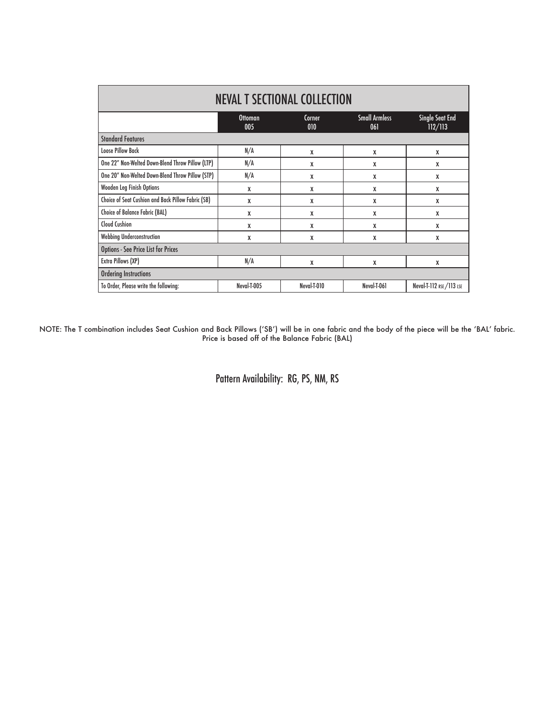| <b>NEVAL T SECTIONAL COLLECTION</b>                |                       |               |                             |                                                           |
|----------------------------------------------------|-----------------------|---------------|-----------------------------|-----------------------------------------------------------|
|                                                    | <b>Ottoman</b><br>005 | Corner<br>010 | <b>Small Armless</b><br>061 | <b>Single Seat End</b><br>$\overline{112}/\overline{113}$ |
| <b>Standard Features</b>                           |                       |               |                             |                                                           |
| <b>Loose Pillow Back</b>                           | N/A                   | X             | X                           | X                                                         |
| One 22" Non-Welted Down-Blend Throw Pillow (LTP)   | N/A                   | X             | X                           | X                                                         |
| One 20" Non-Welted Down-Blend Throw Pillow (STP)   | N/A                   | X             | X                           | X                                                         |
| Wooden Leg Finish Options                          | X                     | X             | X                           | X                                                         |
| Choice of Seat Cushion and Back Pillow Fabric (SB) | X                     | X             | X                           | X                                                         |
| <b>Choice of Balance Fabric (BAL)</b>              | X                     | X             | X                           | X                                                         |
| <b>Cloud Cushion</b>                               | X                     | X             | X                           | X                                                         |
| <b>Webbing Underconstruction</b>                   | X                     | X             | X                           | X                                                         |
| <b>Options - See Price List for Prices</b>         |                       |               |                             |                                                           |
| Extra Pillows (XP)                                 | N/A                   | X             | X                           | X                                                         |
| <b>Ordering Instructions</b>                       |                       |               |                             |                                                           |
| To Order, Please write the following:              | Neval-T-005           | Neval-T-010   | Neval-T-061                 | Neval-T-112 RSE / 113 LSE                                 |

NOTE: The T combination includes Seat Cushion and Back Pillows ('SB') will be in one fabric and the body of the piece will be the 'BAL' fabric. Price is based off of the Balance Fabric (BAL)

Pattern Availability: RG, PS, NM, RS